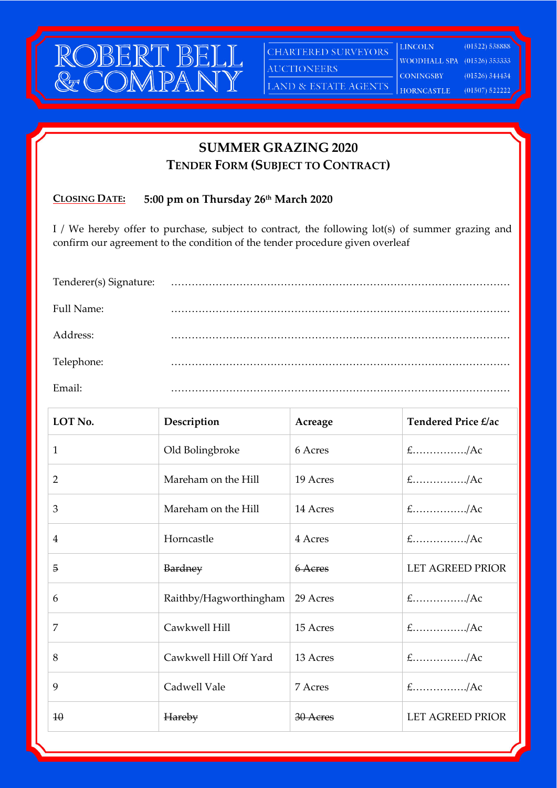

CHARTERED SURVEYORS **AUCTIONEERS** 

LAND & ESTATE AGENTS

**LINCOLN** WOODHALL SPA (01526) 353333 **CONINGSBY HORNCASTLE** 

 $(01522) 538888$  $(01526)$  344434  $(01507) 522222$ 

## **SUMMER GRAZING 2020 TENDER FORM (SUBJECT TO CONTRACT)**

## **CLOSING DATE: 5:00 pm on Thursday 26th March 2020**

I / We hereby offer to purchase, subject to contract, the following lot(s) of summer grazing and confirm our agreement to the condition of the tender procedure given overleaf

| Full Name: |  |
|------------|--|
| Address:   |  |
| Telephone: |  |
| Email:     |  |

| LOT No.         | Description            | Acreage  | Tendered Price £/ac     |
|-----------------|------------------------|----------|-------------------------|
| 1               | Old Bolingbroke        | 6 Acres  | $E$ /Ac                 |
| $\overline{2}$  | Mareham on the Hill    | 19 Acres | $f$ /Ac                 |
| 3               | Mareham on the Hill    | 14 Acres | $E$ /Ac                 |
| 4               | Horncastle             | 4 Acres  | $f$ /Ac                 |
| 5               | <b>Bardney</b>         | 6 Acres  | <b>LET AGREED PRIOR</b> |
| 6               | Raithby/Hagworthingham | 29 Acres | $f$ /Ac                 |
| 7               | Cawkwell Hill          | 15 Acres | $f$ /Ac                 |
| 8               | Cawkwell Hill Off Yard | 13 Acres | $f$ /Ac                 |
| 9               | Cadwell Vale           | 7 Acres  | $f$ /Ac                 |
| $\overline{10}$ | Hareby                 | 30 Acres | LET AGREED PRIOR        |